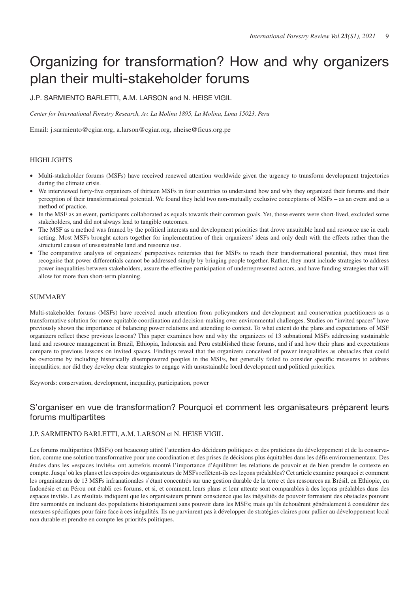# Organizing for transformation? How and why organizers plan their multi-stakeholder forums

J.P. SARMIENTO BARLETTI, A.M. LARSON and N. HEISE VIGIL

*Center for International Forestry Research, Av. La Molina 1895, La Molina, Lima 15023, Peru*

Email: j.sarmiento@cgiar.org, a.larson@cgiar.org, nheise@ficus.org.pe

## **HIGHLIGHTS**

- Multi-stakeholder forums (MSFs) have received renewed attention worldwide given the urgency to transform development trajectories during the climate crisis.
- We interviewed forty-five organizers of thirteen MSFs in four countries to understand how and why they organized their forums and their perception of their transformational potential. We found they held two non-mutually exclusive conceptions of MSFs – as an event and as a method of practice.
- In the MSF as an event, participants collaborated as equals towards their common goals. Yet, those events were short-lived, excluded some stakeholders, and did not always lead to tangible outcomes.
- The MSF as a method was framed by the political interests and development priorities that drove unsuitable land and resource use in each setting. Most MSFs brought actors together for implementation of their organizers' ideas and only dealt with the effects rather than the structural causes of unsustainable land and resource use.
- The comparative analysis of organizers' perspectives reiterates that for MSFs to reach their transformational potential, they must first recognise that power differentials cannot be addressed simply by bringing people together. Rather, they must include strategies to address power inequalities between stakeholders, assure the effective participation of underrepresented actors, and have funding strategies that will allow for more than short-term planning.

## SUMMARY

Multi-stakeholder forums (MSFs) have received much attention from policymakers and development and conservation practitioners as a transformative solution for more equitable coordination and decision-making over environmental challenges. Studies on "invited spaces" have previously shown the importance of balancing power relations and attending to context. To what extent do the plans and expectations of MSF organizers reflect these previous lessons? This paper examines how and why the organizers of 13 subnational MSFs addressing sustainable land and resource management in Brazil, Ethiopia, Indonesia and Peru established these forums, and if and how their plans and expectations compare to previous lessons on invited spaces. Findings reveal that the organizers conceived of power inequalities as obstacles that could be overcome by including historically disempowered peoples in the MSFs, but generally failed to consider specific measures to address inequalities; nor did they develop clear strategies to engage with unsustainable local development and political priorities.

Keywords: conservation, development, inequality, participation, power

# S'organiser en vue de transformation? Pourquoi et comment les organisateurs préparent leurs forums multipartites

## J.P. SARMIENTO BARLETTI, A.M. LARSON et N. HEISE VIGIL

Les forums multipartites (MSFs) ont beaucoup attiré l'attention des décideurs politiques et des praticiens du développement et de la conservation, comme une solution transformative pour une coordination et des prises de décisions plus équitables dans les défis environnementaux. Des études dans les «espaces invités» ont autrefois montré l'importance d'équilibrer les relations de pouvoir et de bien prendre le contexte en compte. Jusqu'où les plans et les espoirs des organisateurs de MSFs reflètent-ils ces leçons préalables? Cet article examine pourquoi et comment les organisateurs de 13 MSFs infranationales s'étant concentrés sur une gestion durable de la terre et des ressources au Brésil, en Ethiopie, en Indonésie et au Pérou ont établi ces forums, et si, et comment, leurs plans et leur attente sont comparables à des leçons préalables dans des espaces invités. Les résultats indiquent que les organisateurs prirent conscience que les inégalités de pouvoir formaient des obstacles pouvant être surmontés en incluant des populations historiquement sans pouvoir dans les MSFs; mais qu'ils échouèrent généralement à considérer des mesures spécifiques pour faire face à ces inégalités. Ils ne parvinrent pas à développer de stratégies claires pour pallier au développement local non durable et prendre en compte les priorités politiques.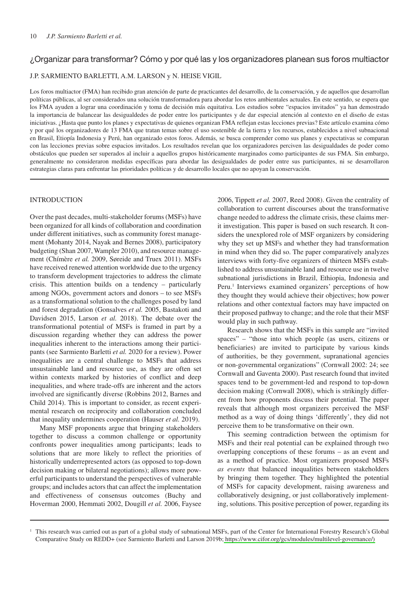## ¿Organizar para transformar? Cómo y por qué las y los organizadores planean sus foros multiactor

J.P. SARMIENTO BARLETTI, A.M. LARSON y N. HEISE VIGIL

Los foros multiactor (FMA) han recibido gran atención de parte de practicantes del desarrollo, de la conservación, y de aquellos que desarrollan políticas públicas, al ser considerados una solución transformadora para abordar los retos ambientales actuales. En este sentido, se espera que los FMA ayuden a lograr una coordinación y toma de decisión más equitativa. Los estudios sobre "espacios invitados" ya han demostrado la importancia de balancear las desigualdedes de poder entre los participantes y de dar especial atención al contexto en el diseño de estas iniciativas. ¿Hasta que punto los planes y expectativas de quienes organizan FMA reflejan estas lecciones previas? Este artículo examina cómo y por qué los organizadores de 13 FMA que tratan temas sobre el uso sostenible de la tierra y los recursos, establecidos a nivel subnacional en Brasil, Etiopía Indonesia y Perú, han organizado estos foros. Además, se busca comprender como sus planes y expectativas se comparan con las lecciones previas sobre espacios invitados. Los resultados revelan que los organizadores perciven las desigualdades de poder como obstáculos que pueden ser superados al incluir a aquellos grupos históricamente marginados como participantes de sus FMA. Sin embargo, generalmente no consideraron medidas específicas para abordar las desigualdades de poder entre sus participantes, ni se desarrollaron estrategias claras para enfrentar las prioridades políticas y de desarrollo locales que no apoyan la conservación.

## INTRODUCTION

Over the past decades, multi-stakeholder forums (MSFs) have been organized for all kinds of collaboration and coordination under different initiatives, such as community forest management (Mohanty 2014, Nayak and Bernes 2008), participatory budgeting (Shan 2007, Wampler 2010), and resource management (Chímère *et al.* 2009, Søreide and Truex 2011). MSFs have received renewed attention worldwide due to the urgency to transform development trajectories to address the climate crisis. This attention builds on a tendency – particularly among NGOs, government actors and donors – to see MSFs as a transformational solution to the challenges posed by land and forest degradation (Gonsalves *et al.* 2005, Bastakoti and Davidsen 2015, Larson *et al.* 2018). The debate over the transformational potential of MSFs is framed in part by a discussion regarding whether they can address the power inequalities inherent to the interactions among their participants (see Sarmiento Barletti *et al.* 2020 for a review). Power inequalities are a central challenge to MSFs that address unsustainable land and resource use, as they are often set within contexts marked by histories of conflict and deep inequalities, and where trade-offs are inherent and the actors involved are significantly diverse (Robbins 2012, Barnes and Child 2014). This is important to consider, as recent experimental research on reciprocity and collaboration concluded that inequality undermines cooperation (Hauser *et al.* 2019).

Many MSF proponents argue that bringing stakeholders together to discuss a common challenge or opportunity confronts power inequalities among participants; leads to solutions that are more likely to reflect the priorities of historically underrepresented actors (as opposed to top-down decision making or bilateral negotiations); allows more powerful participants to understand the perspectives of vulnerable groups; and includes actors that can affect the implementation and effectiveness of consensus outcomes (Buchy and Hoverman 2000, Hemmati 2002, Dougill *et al.* 2006, Faysee

2006, Tippett *et al.* 2007, Reed 2008). Given the centrality of collaboration to current discourses about the transformative change needed to address the climate crisis, these claims merit investigation. This paper is based on such research. It considers the unexplored role of MSF organizers by considering why they set up MSFs and whether they had transformation in mind when they did so. The paper comparatively analyzes interviews with forty-five organizers of thirteen MSFs established to address unsustainable land and resource use in twelve subnational jurisdictions in Brazil, Ethiopia, Indonesia and Peru.<sup>1</sup> Interviews examined organizers' perceptions of how they thought they would achieve their objectives; how power relations and other contextual factors may have impacted on their proposed pathway to change; and the role that their MSF would play in such pathway.

Research shows that the MSFs in this sample are "invited spaces" – "those into which people (as users, citizens or beneficiaries) are invited to participate by various kinds of authorities, be they government, supranational agencies or non-governmental organizations" (Cornwall 2002: 24; see Cornwall and Gaventa 2000). Past research found that invited spaces tend to be government-led and respond to top-down decision making (Cornwall 2008), which is strikingly different from how proponents discuss their potential. The paper reveals that although most organizers perceived the MSF method as a way of doing things 'differently', they did not perceive them to be transformative on their own.

This seeming contradiction between the optimism for MSFs and their real potential can be explained through two overlapping conceptions of these forums – as an event and as a method of practice. Most organizers proposed MSFs *as events* that balanced inequalities between stakeholders by bringing them together. They highlighted the potential of MSFs for capacity development, raising awareness and collaboratively designing, or just collaboratively implementing, solutions. This positive perception of power, regarding its

<sup>1</sup> This research was carried out as part of a global study of subnational MSFs, part of the Center for International Forestry Research's Global Comparative Study on REDD+ (see Sarmiento Barletti and Larson 2019b; [https://www.cifor.org/gcs/modules/multilevel-governance/\)](http://www.cifor.org/gcs/modules/multilevel-governance/)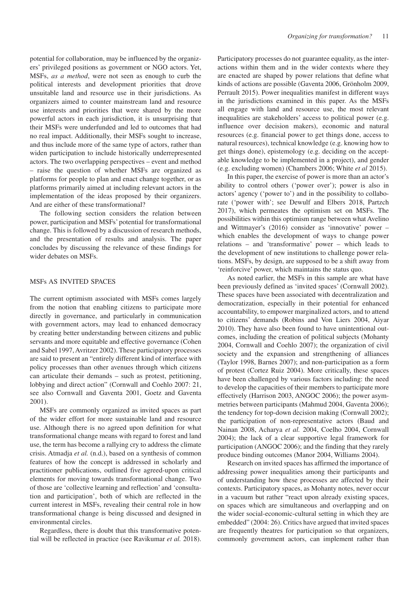potential for collaboration, may be influenced by the organizers' privileged positions as government or NGO actors. Yet, MSFs, *as a method*, were not seen as enough to curb the political interests and development priorities that drove unsuitable land and resource use in their jurisdictions. As organizers aimed to counter mainstream land and resource use interests and priorities that were shared by the more powerful actors in each jurisdiction, it is unsurprising that their MSFs were underfunded and led to outcomes that had no real impact. Additionally, their MSFs sought to increase, and thus include more of the same type of actors, rather than widen participation to include historically underrepresented actors. The two overlapping perspectives – event and method – raise the question of whether MSFs are organized as platforms for people to plan and enact change together, or as platforms primarily aimed at including relevant actors in the implementation of the ideas proposed by their organizers. And are either of these transformational?

The following section considers the relation between power, participation and MSFs' potential for transformational change. This is followed by a discussion of research methods, and the presentation of results and analysis. The paper concludes by discussing the relevance of these findings for wider debates on MSFs.

## MSFs AS INVITED SPACES

The current optimism associated with MSFs comes largely from the notion that enabling citizens to participate more directly in governance, and particularly in communication with government actors, may lead to enhanced democracy by creating better understanding between citizens and public servants and more equitable and effective governance (Cohen and Sabel 1997, Avritzer 2002). These participatory processes are said to present an "entirely different kind of interface with policy processes than other avenues through which citizens can articulate their demands – such as protest, petitioning, lobbying and direct action" (Cornwall and Coehlo 2007: 21, see also Cornwall and Gaventa 2001, Goetz and Gaventa 2001).

MSFs are commonly organized as invited spaces as part of the wider effort for more sustainable land and resource use. Although there is no agreed upon definition for what transformational change means with regard to forest and land use, the term has become a rallying cry to address the climate crisis. Atmadja *et al.* (n.d.), based on a synthesis of common features of how the concept is addressed in scholarly and practitioner publications, outlined five agreed-upon critical elements for moving towards transformational change. Two of those are 'collective learning and reflection' and 'consultation and participation', both of which are reflected in the current interest in MSFs, revealing their central role in how transformational change is being discussed and designed in environmental circles.

Regardless, there is doubt that this transformative potential will be reflected in practice (see Ravikumar *et al.* 2018).

Participatory processes do not guarantee equality, as the interactions within them and in the wider contexts where they are enacted are shaped by power relations that define what kinds of actions are possible (Gaventa 2006, Grönholm 2009, Perrault 2015). Power inequalities manifest in different ways in the jurisdictions examined in this paper. As the MSFs all engage with land and resource use, the most relevant inequalities are stakeholders' access to political power (e.g. influence over decision makers), economic and natural resources (e.g. financial power to get things done, access to natural resources), technical knowledge (e.g. knowing how to get things done), epistemology (e.g. deciding on the acceptable knowledge to be implemented in a project), and gender (e.g. excluding women) (Chambers 2006; White *et al* 2015).

In this paper, the exercise of power is more than an actor's ability to control others ('power over'); power is also in actors' agency ('power to') and in the possibility to collaborate ('power with'; see Dewulf and Elbers 2018, Partzch 2017), which permeates the optimism set on MSFs. The possibilities within this optimism range between what Avelino and Wittmayer's (2016) consider as 'innovative' power – which enables the development of ways to change power relations – and 'transformative' power – which leads to the development of new institutions to challenge power relations. MSFs, by design, are supposed to be a shift away from 'reinforcive' power, which maintains the status quo.

As noted earlier, the MSFs in this sample are what have been previously defined as 'invited spaces' (Cornwall 2002). These spaces have been associated with decentralization and democratization, especially in their potential for enhanced accountability, to empower marginalized actors, and to attend to citizens' demands (Robins and Von Liers 2004, Aiyar 2010). They have also been found to have unintentional outcomes, including the creation of political subjects (Mohanty 2004, Cornwall and Coehlo 2007); the organization of civil society and the expansion and strengthening of alliances (Taylor 1998, Barnes 2007); and non-participation as a form of protest (Cortez Ruiz 2004). More critically, these spaces have been challenged by various factors including: the need to develop the capacities of their members to participate more effectively (Harrison 2003, ANGOC 2006); the power asymmetries between participants (Mahmud 2004, Gaventa 2006); the tendency for top-down decision making (Cornwall 2002); the participation of non-representative actors (Baud and Nainan 2008, Acharya *et al.* 2004, Coelho 2004, Cornwall 2004); the lack of a clear supportive legal framework for participation (ANGOC 2006); and the finding that they rarely produce binding outcomes (Manor 2004, Williams 2004).

Research on invited spaces has affirmed the importance of addressing power inequalities among their participants and of understanding how these processes are affected by their contexts. Participatory spaces, as Mohanty notes, never occur in a vacuum but rather "react upon already existing spaces, on spaces which are simultaneous and overlapping and on the wider social-economic-cultural setting in which they are embedded" (2004: 26). Critics have argued that invited spaces are frequently theatres for participation so that organizers, commonly government actors, can implement rather than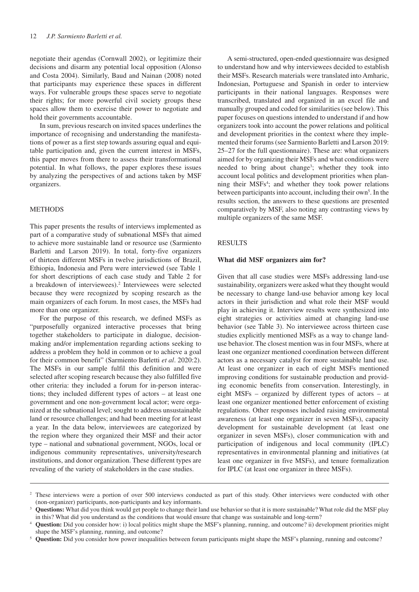negotiate their agendas (Cornwall 2002), or legitimize their decisions and disarm any potential local opposition (Alonso and Costa 2004). Similarly, Baud and Nainan (2008) noted that participants may experience these spaces in different ways. For vulnerable groups these spaces serve to negotiate their rights; for more powerful civil society groups these spaces allow them to exercise their power to negotiate and hold their governments accountable.

In sum, previous research on invited spaces underlines the importance of recognising and understanding the manifestations of power as a first step towards assuring equal and equitable participation and, given the current interest in MSFs, this paper moves from there to assess their transformational potential. In what follows, the paper explores these issues by analyzing the perspectives of and actions taken by MSF organizers.

## METHODS

This paper presents the results of interviews implemented as part of a comparative study of subnational MSFs that aimed to achieve more sustainable land or resource use (Sarmiento Barletti and Larson 2019). In total, forty-five organizers of thirteen different MSFs in twelve jurisdictions of Brazil, Ethiopia, Indonesia and Peru were interviewed (see Table 1 for short descriptions of each case study and Table 2 for a breakdown of interviewees).2 Interviewees were selected because they were recognized by scoping research as the main organizers of each forum. In most cases, the MSFs had more than one organizer.

For the purpose of this research, we defined MSFs as "purposefully organized interactive processes that bring together stakeholders to participate in dialogue, decisionmaking and/or implementation regarding actions seeking to address a problem they hold in common or to achieve a goal for their common benefit" (Sarmiento Barletti *et al*. 2020:2). The MSFs in our sample fulfil this definition and were selected after scoping research because they also fulfilled five other criteria: they included a forum for in-person interactions; they included different types of actors – at least one government and one non-government local actor; were organized at the subnational level; sought to address unsustainable land or resource challenges; and had been meeting for at least a year. In the data below, interviewees are categorized by the region where they organized their MSF and their actor type – national and subnational government, NGOs, local or indigenous community representatives, university/research institutions, and donor organization. These different types are revealing of the variety of stakeholders in the case studies.

A semi-structured, open-ended questionnaire was designed to understand how and why interviewees decided to establish their MSFs. Research materials were translated into Amharic, Indonesian, Portuguese and Spanish in order to interview participants in their national languages. Responses were transcribed, translated and organized in an excel file and manually grouped and coded for similarities (see below). This paper focuses on questions intended to understand if and how organizers took into account the power relations and political and development priorities in the context where they implemented their forums (see Sarmiento Barletti and Larson 2019: 25–27 for the full questionnaire). These are: what organizers aimed for by organizing their MSFs and what conditions were needed to bring about change<sup>3</sup>; whether they took into account local politics and development priorities when planning their MSFs<sup>4</sup>; and whether they took power relations between participants into account, including their own<sup>5</sup>. In the results section, the answers to these questions are presented comparatively by MSF, also noting any contrasting views by multiple organizers of the same MSF.

#### RESULTS

#### **What did MSF organizers aim for?**

Given that all case studies were MSFs addressing land-use sustainability, organizers were asked what they thought would be necessary to change land-use behavior among key local actors in their jurisdiction and what role their MSF would play in achieving it. Interview results were synthesized into eight strategies or activities aimed at changing land-use behavior (see Table 3). No interviewee across thirteen case studies explicitly mentioned MSFs as a way to change landuse behavior. The closest mention was in four MSFs, where at least one organizer mentioned coordination between different actors as a necessary catalyst for more sustainable land use. At least one organizer in each of eight MSFs mentioned improving conditions for sustainable production and providing economic benefits from conservation. Interestingly, in eight MSFs – organized by different types of actors – at least one organizer mentioned better enforcement of existing regulations. Other responses included raising environmental awareness (at least one organizer in seven MSFs), capacity development for sustainable development (at least one organizer in seven MSFs), closer communication with and participation of indigenous and local community (IPLC) representatives in environmental planning and initiatives (at least one organizer in five MSFs), and tenure formalization for IPLC (at least one organizer in three MSFs).

<sup>&</sup>lt;sup>2</sup> These interviews were a portion of over 500 interviews conducted as part of this study. Other interviews were conducted with other (non-organizer) participants, non-participants and key informants.

<sup>3</sup> **Questions:** What did you think would get people to change their land use behavior so that it is more sustainable? What role did the MSF play in this? What did you understand as the conditions that would ensure that change was sustainable and long-term?

<sup>4</sup> **Question:** Did you consider how: i) local politics might shape the MSF's planning, running, and outcome? ii) development priorities might shape the MSF's planning, running, and outcome?

<sup>5</sup> **Question:** Did you consider how power inequalities between forum participants might shape the MSF's planning, running and outcome?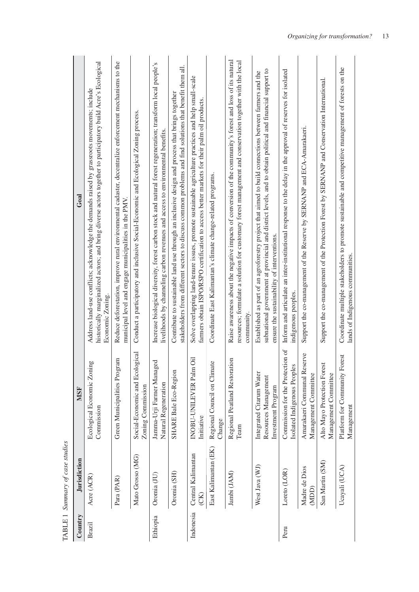| Country   | <b>Jurisdiction</b>        | <b>MSF</b>                                                             | Goal                                                                                                                                                                                                                                                                |
|-----------|----------------------------|------------------------------------------------------------------------|---------------------------------------------------------------------------------------------------------------------------------------------------------------------------------------------------------------------------------------------------------------------|
| Brazil    | Acre (ACR)                 | Ecological Economic Zoning<br>Commission                               | historically marginalized actors; and bring diverse actors together to participatory build Acre's Ecological<br>Address land-use conflicts; acknowledge the demands raised by grassroots movements; include<br>Economic Zoning                                      |
|           | Para (PAR)                 | Green Municipalities Program                                           | Reduce deforestation, improve rural environmental cadaster, decentralize enforcement mechanisms to the<br>municipal level and engage municipalities in the PMV.                                                                                                     |
|           | Mato Grosso (MG)           | <i>ogical</i><br>Social-Economic and Ecolo<br>Zoning Commission        | Conduct a participatory and inclusive Social-Economic and Ecological Zoning process.                                                                                                                                                                                |
| Ethiopia  | Oromia (JU)                | Jamma-Urji Farmer Managed<br>Natural Regeneration                      | Increase biological diversity, forest carbon stock and natural forest regeneration; transform local people's<br>livelihoods by channeling carbon revenues and access to environmental benefits.                                                                     |
|           | Oromia (SH)                | SHARE Bale Eco-Region                                                  | stakeholders from different sectors to discuss common problems and find solutions that benefit them all.<br>Contribute to sustainable land use through an inclusive design and process that brings together                                                         |
| Indonesia | Central Kalimantan<br>(CK) | öil<br>INOBU-UNILEVER Palm<br>Initiative                               | Solve overlapping land-tenure issues, promote sustainable agriculture practices and help small-scale<br>farmers obtain ISPO/RSPO certification to access better markets for their palm oil products.                                                                |
|           | East Kalimantan (EK)       | Le<br>Regional Council on Clima<br>Change                              | Coordinate East Kalimantan's climate change-related programs.                                                                                                                                                                                                       |
|           | Jambi (JAM)                | Regional Peatland Restoration<br>Team                                  | Raise awareness about the negative impacts of conversion of the community's forest and loss of its natural<br>resources; formulate a solution for customary forest management and conservation together with the local<br>community.                                |
|           | West Java (WJ)             | Integrated Citarum Water<br>Resources Management<br>Investment Program | subnational government at provincial and district levels, and to obtain political and financial support to<br>Established as part of an agroforestry project that aimed to build connections between farmers and the<br>ensure the sustainability of interventions. |
| Peru      | Loreto (LOR)               | Commission for the Protection of<br>Isolated Indigenous Peoples        | Inform and articulate an inter-institutional response to the delay in the approval of reserves for isolated<br>indigenous peoples.                                                                                                                                  |
|           | Madre de Dios<br>(MDD)     | Amarakaeri Communal Reserve<br>Management Committee                    | Support the co-management of the Reserve by SERNANP and ECA-Amarakaeri.                                                                                                                                                                                             |
|           | San Martin (SM)            | Alto Mayo Protection Forest<br>Management Committee                    | Support the co-management of the Protection Forest by SERNANP and Conservation International.                                                                                                                                                                       |
|           | Ucayali (UCA)              | Platform for Community Forest<br>Management                            | Coordinate multiple stakeholders to promote sustainable and competitive management of forests on the<br>lands of Indigenous communities.                                                                                                                            |

TABLE 1 Summary of case studies TABLE 1 *Summary of case studies*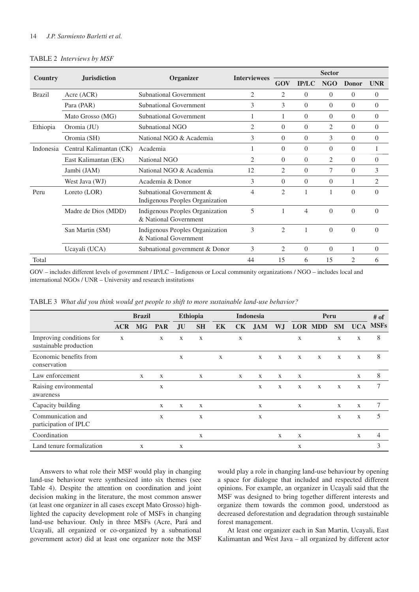## 14 *J.P. Sarmiento Barletti et al.*

#### TABLE 2 *Interviews by MSF*

|                     | <b>Jurisdiction</b>     |                                                             | <b>Interviewees</b> | <b>Sector</b>  |              |            |              |            |  |  |
|---------------------|-------------------------|-------------------------------------------------------------|---------------------|----------------|--------------|------------|--------------|------------|--|--|
| Country             |                         | Organizer                                                   |                     | GOV            | <b>IP/LC</b> | <b>NGO</b> | <b>Donor</b> | <b>UNR</b> |  |  |
| <b>Brazil</b>       | Acre (ACR)              | <b>Subnational Government</b>                               | 2                   | 2              | $\Omega$     | $\Omega$   | $\Omega$     | $\theta$   |  |  |
|                     | Para (PAR)              | <b>Subnational Government</b>                               | 3                   | 3              | $\Omega$     | $\Omega$   | $\Omega$     | $\theta$   |  |  |
|                     | Mato Grosso (MG)        | <b>Subnational Government</b>                               | 1                   | 1              | $\Omega$     | $\Omega$   | $\Omega$     | $\theta$   |  |  |
| Ethiopia            | Oromia (JU)             | Subnational NGO                                             | 2                   | $\Omega$       | $\Omega$     | 2          | $\Omega$     | $\Omega$   |  |  |
|                     | Oromia (SH)             | National NGO & Academia                                     | 3                   | $\Omega$       | $\Omega$     | 3          | $\Omega$     | $\Omega$   |  |  |
| Indonesia           | Central Kalimantan (CK) | Academia                                                    | 1                   | $\Omega$       | $\Omega$     | $\Omega$   | $\Omega$     | 1          |  |  |
|                     | East Kalimantan (EK)    | National NGO                                                | $\overline{2}$      | $\Omega$       | $\Omega$     | 2          | $\Omega$     | $\Omega$   |  |  |
|                     | Jambi (JAM)             | National NGO & Academia                                     | 12                  | 2              | $\Omega$     | $\tau$     | $\Omega$     | 3          |  |  |
|                     | West Java (WJ)          | Academia & Donor                                            | 3                   | $\Omega$       | $\Omega$     | $\Omega$   | 1            | 2          |  |  |
| Peru                | Loreto $(LOR)$          | Subnational Government &<br>Indigenous Peoples Organization | 4                   | $\mathcal{L}$  | 1            |            | $\Omega$     | $\Omega$   |  |  |
| Madre de Dios (MDD) |                         | Indigenous Peoples Organization<br>& National Government    | 5                   | 1              | 4            | $\theta$   | $\Omega$     | $\Omega$   |  |  |
|                     | San Martin (SM)         | Indigenous Peoples Organization<br>& National Government    | 3                   | $\overline{c}$ | 1            | $\Omega$   | $\Omega$     | $\Omega$   |  |  |
|                     | Ucayali (UCA)           | Subnational government & Donor                              | 3                   | 2              | $\Omega$     | $\theta$   | 1            | $\theta$   |  |  |
| Total               |                         |                                                             | 44                  | 15             | 6            | 15         | 2            | 6          |  |  |

GOV – includes different levels of government / IP/LC – Indigenous or Local community organizations / NGO – includes local and international NGOs / UNR – University and research institutions

|                                                    | <b>Brazil</b> |              |              |              | <b>Ethiopia</b><br><b>Indonesia</b> |    |              |              |              |              | Peru           |              |              |             |  |
|----------------------------------------------------|---------------|--------------|--------------|--------------|-------------------------------------|----|--------------|--------------|--------------|--------------|----------------|--------------|--------------|-------------|--|
|                                                    | <b>ACR</b>    | <b>MG</b>    | <b>PAR</b>   | <b>JU</b>    | <b>SH</b>                           | EK | <b>CK</b>    | <b>JAM</b>   | WJ           |              | <b>LOR MDD</b> | <b>SM</b>    | <b>UCA</b>   | <b>MSFs</b> |  |
| Improving conditions for<br>sustainable production | X             |              | $\mathbf{X}$ | X            | X                                   |    | $\mathbf X$  |              |              | X            |                | $\mathbf{X}$ | $\mathbf X$  | 8           |  |
| Economic benefits from<br>conservation             |               |              |              | $\mathbf{X}$ |                                     | X  |              | $\mathbf{X}$ | $\mathbf{X}$ | $\mathbf{X}$ | $\mathbf{X}$   | $\mathbf{X}$ | $\mathbf{X}$ | 8           |  |
| Law enforcement                                    |               | $\mathbf{X}$ | $\mathbf{X}$ |              | X                                   |    | $\mathbf{X}$ | X            | $\mathbf{X}$ | X            |                |              | $\mathbf{X}$ | 8           |  |
| Raising environmental<br>awareness                 |               |              | X            |              |                                     |    |              | X            | X            | X            | X              | X            | $\mathbf{X}$ | 7           |  |
| Capacity building                                  |               |              | $\mathbf{X}$ | $\mathbf{X}$ | X                                   |    |              | X            |              | X            |                | $\mathbf{X}$ | $\mathbf{X}$ | 7           |  |
| Communication and<br>participation of IPLC         |               |              | X            |              | X                                   |    |              | X            |              |              |                | X            | $\mathbf{X}$ | 5           |  |
| Coordination                                       |               |              |              |              | $\mathbf X$                         |    |              |              | X            | $\mathbf X$  |                |              | $\mathbf{X}$ | 4           |  |
| Land tenure formalization                          |               | X            |              | X            |                                     |    |              |              |              | X            |                |              |              | 3           |  |

TABLE 3 *What did you think would get people to shift to more sustainable land-use behavior?*

Answers to what role their MSF would play in changing land-use behaviour were synthesized into six themes (see Table 4). Despite the attention on coordination and joint decision making in the literature, the most common answer (at least one organizer in all cases except Mato Grosso) highlighted the capacity development role of MSFs in changing land-use behaviour. Only in three MSFs (Acre, Pará and Ucayali, all organized or co-organized by a subnational government actor) did at least one organizer note the MSF

would play a role in changing land-use behaviour by opening a space for dialogue that included and respected different opinions. For example, an organizer in Ucayali said that the MSF was designed to bring together different interests and organize them towards the common good, understood as decreased deforestation and degradation through sustainable forest management.

At least one organizer each in San Martin, Ucayali, East Kalimantan and West Java – all organized by different actor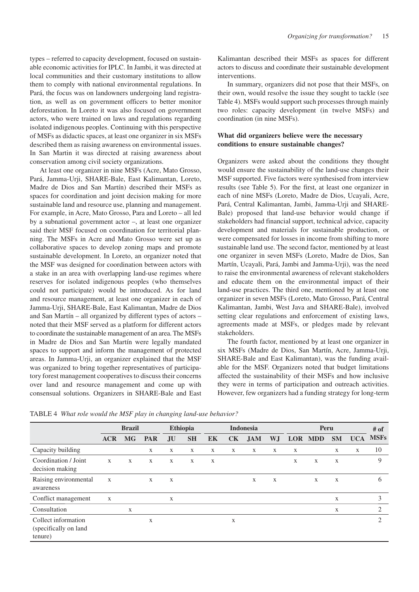types – referred to capacity development, focused on sustainable economic activities for IPLC. In Jambi, it was directed at local communities and their customary institutions to allow them to comply with national environmental regulations. In Pará, the focus was on landowners undergoing land registration, as well as on government officers to better monitor deforestation. In Loreto it was also focused on government actors, who were trained on laws and regulations regarding isolated indigenous peoples. Continuing with this perspective of MSFs as didactic spaces, at least one organizer in six MSFs described them as raising awareness on environmental issues. In San Martin it was directed at raising awareness about conservation among civil society organizations.

At least one organizer in nine MSFs (Acre, Mato Grosso, Pará, Jamma-Urji, SHARE-Bale, East Kalimantan, Loreto, Madre de Dios and San Martín) described their MSFs as spaces for coordination and joint decision making for more sustainable land and resource use, planning and management. For example, in Acre, Mato Grosso, Para and Loreto – all led by a subnational government actor –, at least one organizer said their MSF focused on coordination for territorial planning. The MSFs in Acre and Mato Grosso were set up as collaborative spaces to develop zoning maps and promote sustainable development. In Loreto, an organizer noted that the MSF was designed for coordination between actors with a stake in an area with overlapping land-use regimes where reserves for isolated indigenous peoples (who themselves could not participate) would be introduced. As for land and resource management, at least one organizer in each of Jamma-Urji, SHARE-Bale, East Kalimantan, Madre de Dios and San Martín – all organized by different types of actors – noted that their MSF served as a platform for different actors to coordinate the sustainable management of an area. The MSFs in Madre de Dios and San Martín were legally mandated spaces to support and inform the management of protected areas. In Jamma-Urji, an organizer explained that the MSF was organized to bring together representatives of participatory forest management cooperatives to discuss their concerns over land and resource management and come up with consensual solutions. Organizers in SHARE-Bale and East

Kalimantan described their MSFs as spaces for different actors to discuss and coordinate their sustainable development interventions.

In summary, organizers did not pose that their MSFs, on their own, would resolve the issue they sought to tackle (see Table 4). MSFs would support such processes through mainly two roles: capacity development (in twelve MSFs) and coordination (in nine MSFs).

## **What did organizers believe were the necessary conditions to ensure sustainable changes?**

Organizers were asked about the conditions they thought would ensure the sustainability of the land-use changes their MSF supported. Five factors were synthesised from interview results (see Table 5). For the first, at least one organizer in each of nine MSFs (Loreto, Madre de Dios, Ucayali, Acre, Pará, Central Kalimantan, Jambi, Jamma-Urji and SHARE-Bale) proposed that land-use behavior would change if stakeholders had financial support, technical advice, capacity development and materials for sustainable production, or were compensated for losses in income from shifting to more sustainable land use. The second factor, mentioned by at least one organizer in seven MSFs (Loreto, Madre de Dios, San Martín, Ucayali, Pará, Jambi and Jamma-Urji), was the need to raise the environmental awareness of relevant stakeholders and educate them on the environmental impact of their land-use practices. The third one, mentioned by at least one organizer in seven MSFs (Loreto, Mato Grosso, Pará, Central Kalimantan, Jambi, West Java and SHARE-Bale), involved setting clear regulations and enforcement of existing laws, agreements made at MSFs, or pledges made by relevant stakeholders.

The fourth factor, mentioned by at least one organizer in six MSFs (Madre de Dios, San Martín, Acre, Jamma-Urji, SHARE-Bale and East Kalimantan), was the funding available for the MSF. Organizers noted that budget limitations affected the sustainability of their MSFs and how inclusive they were in terms of participation and outreach activities. However, few organizers had a funding strategy for long-term

|                                                         | <b>Brazil</b> |              |              | <b>Ethiopia</b><br><b>Indonesia</b> |           |    |             |              |     |   | $#$ of      |           |            |                |
|---------------------------------------------------------|---------------|--------------|--------------|-------------------------------------|-----------|----|-------------|--------------|-----|---|-------------|-----------|------------|----------------|
|                                                         | <b>ACR</b>    | <b>MG</b>    | <b>PAR</b>   | <b>JU</b>                           | <b>SH</b> | EK | CK          | <b>JAM</b>   | W.J |   | LOR MDD     | <b>SM</b> | <b>UCA</b> | <b>MSFs</b>    |
| Capacity building                                       |               |              | $\mathbf{X}$ | X                                   | X         | X  | X           | X            | X   | X |             | X         | X          | 10             |
| Coordination / Joint<br>decision making                 | X             | $\mathbf{X}$ | $\mathbf{X}$ | X                                   | X         | X  |             |              |     | X | $\mathbf X$ | X         |            | 9              |
| Raising environmental<br>awareness                      | $\mathbf{X}$  |              | $\mathbf{X}$ | X                                   |           |    |             | $\mathbf{X}$ | X   |   | X           | X         |            | 6              |
| Conflict management                                     | $\mathbf X$   |              |              | X                                   |           |    |             |              |     |   |             | X         |            | 3              |
| Consultation                                            |               | X            |              |                                     |           |    |             |              |     |   |             | X         |            | 2              |
| Collect information<br>(specifically on land<br>tenure) |               |              | X            |                                     |           |    | $\mathbf X$ |              |     |   |             |           |            | $\overline{c}$ |

TABLE 4 *What role would the MSF play in changing land-use behavior?*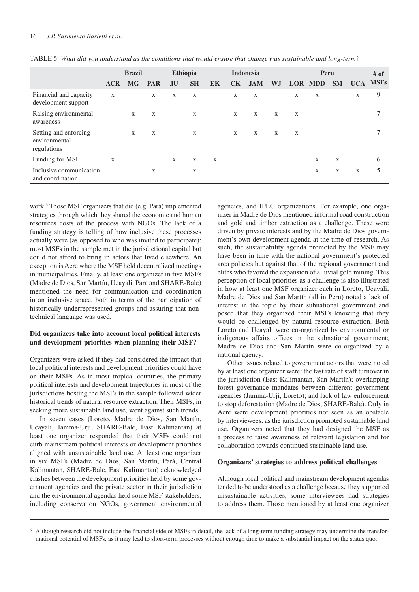|                                                       | <b>Brazil</b> |             |              | <b>Ethiopia</b><br><b>Indonesia</b> |             |             |              |            |              | # of         |              |           |              |               |
|-------------------------------------------------------|---------------|-------------|--------------|-------------------------------------|-------------|-------------|--------------|------------|--------------|--------------|--------------|-----------|--------------|---------------|
|                                                       | <b>ACR</b>    | <b>MG</b>   | <b>PAR</b>   | <b>JU</b>                           | <b>SH</b>   | EK          | <b>CK</b>    | <b>JAM</b> | W.J          |              | LOR MDD      | <b>SM</b> | <b>UCA</b>   | <b>MSFs</b>   |
| Financial and capacity<br>development support         | X             |             | $\mathbf{X}$ | $\mathbf{X}$                        | $\mathbf X$ |             | $\mathbf{X}$ | X          |              | $\mathbf{X}$ | $\mathbf X$  |           | $\mathbf{X}$ | 9             |
| Raising environmental<br>awareness                    |               | $\mathbf X$ | $\mathbf X$  |                                     | $\mathbf X$ |             | $\mathbf{X}$ | X          | $\mathbf{X}$ | X            |              |           |              | $\mathcal{I}$ |
| Setting and enforcing<br>environmental<br>regulations |               | X           | X            |                                     | $\mathbf X$ |             | $\mathbf{X}$ | X          | X            | X            |              |           |              | 7             |
| Funding for MSF                                       | $\mathbf X$   |             |              | $\mathbf{X}$                        | $\mathbf X$ | $\mathbf X$ |              |            |              |              | $\mathbf{X}$ | X         |              | 6             |
| Inclusive communication<br>and coordination           |               |             | X            |                                     | $\mathbf X$ |             |              |            |              |              | X            | X         | X            | 5             |

TABLE 5 *What did you understand as the conditions that would ensure that change was sustainable and long-term?*

work.6 Those MSF organizers that did (e.g. Pará) implemented strategies through which they shared the economic and human resources costs of the process with NGOs. The lack of a funding strategy is telling of how inclusive these processes actually were (as opposed to who was invited to participate): most MSFs in the sample met in the jurisdictional capital but could not afford to bring in actors that lived elsewhere. An exception is Acre where the MSF held decentralized meetings in municipalities. Finally, at least one organizer in five MSFs (Madre de Dios, San Martín, Ucayali, Pará and SHARE-Bale) mentioned the need for communication and coordination in an inclusive space, both in terms of the participation of historically underrepresented groups and assuring that nontechnical language was used.

## **Did organizers take into account local political interests and development priorities when planning their MSF?**

Organizers were asked if they had considered the impact that local political interests and development priorities could have on their MSFs. As in most tropical countries, the primary political interests and development trajectories in most of the jurisdictions hosting the MSFs in the sample followed wider historical trends of natural resource extraction. Their MSFs, in seeking more sustainable land use, went against such trends.

In seven cases (Loreto, Madre de Dios, San Martín, Ucayali, Jamma-Urji, SHARE-Bale, East Kalimantan) at least one organizer responded that their MSFs could not curb mainstream political interests or development priorities aligned with unsustainable land use. At least one organizer in six MSFs (Madre de Dios, San Martín, Pará, Central Kalimantan, SHARE-Bale, East Kalimantan) acknowledged clashes between the development priorities held by some government agencies and the private sector in their jurisdiction and the environmental agendas held some MSF stakeholders, including conservation NGOs, government environmental

agencies, and IPLC organizations. For example, one organizer in Madre de Dios mentioned informal road construction and gold and timber extraction as a challenge. These were driven by private interests and by the Madre de Dios government's own development agenda at the time of research. As such, the sustainability agenda promoted by the MSF may have been in tune with the national government's protected area policies but against that of the regional government and elites who favored the expansion of alluvial gold mining. This perception of local priorities as a challenge is also illustrated in how at least one MSF organizer each in Loreto, Ucayali, Madre de Dios and San Martín (all in Peru) noted a lack of interest in the topic by their subnational government and posed that they organized their MSFs knowing that they would be challenged by natural resource extraction. Both Loreto and Ucayali were co-organized by environmental or indigenous affairs offices in the subnational government; Madre de Dios and San Martin were co-organized by a national agency.

Other issues related to government actors that were noted by at least one organizer were: the fast rate of staff turnover in the jurisdiction (East Kalimantan, San Martín); overlapping forest governance mandates between different government agencies (Jamma-Urji, Loreto); and lack of law enforcement to stop deforestation (Madre de Dios, SHARE-Bale). Only in Acre were development priorities not seen as an obstacle by interviewees, as the jurisdiction promoted sustainable land use. Organizers noted that they had designed the MSF as a process to raise awareness of relevant legislation and for collaboration towards continued sustainable land use.

## **Organizers' strategies to address political challenges**

Although local political and mainstream development agendas tended to be understood as a challenge because they supported unsustainable activities, some interviewees had strategies to address them. Those mentioned by at least one organizer

<sup>&</sup>lt;sup>6</sup> Although research did not include the financial side of MSFs in detail, the lack of a long-term funding strategy may undermine the transformational potential of MSFs, as it may lead to short-term processes without enough time to make a substantial impact on the status quo.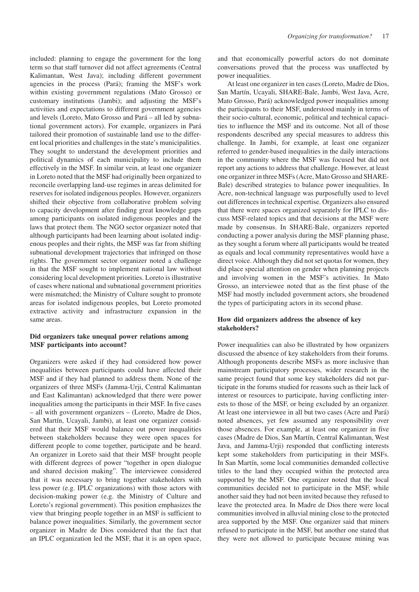included: planning to engage the government for the long term so that staff turnover did not affect agreements (Central Kalimantan, West Java); including different government agencies in the process (Pará); framing the MSF's work within existing government regulations (Mato Grosso) or customary institutions (Jambi); and adjusting the MSF's activities and expectations to different government agencies and levels (Loreto, Mato Grosso and Pará – all led by subnational government actors). For example, organizers in Pará tailored their promotion of sustainable land use to the different local priorities and challenges in the state's municipalities. They sought to understand the development priorities and political dynamics of each municipality to include them effectively in the MSF. In similar vein, at least one organizer in Loreto noted that the MSF had originally been organized to reconcile overlapping land-use regimes in areas delimited for reserves for isolated indigenous peoples. However, organizers shifted their objective from collaborative problem solving to capacity development after finding great knowledge gaps among participants on isolated indigenous peoples and the laws that protect them. The NGO sector organizer noted that although participants had been learning about isolated indigenous peoples and their rights, the MSF was far from shifting subnational development trajectories that infringed on those rights. The government sector organizer noted a challenge in that the MSF sought to implement national law without considering local development priorities. Loreto is illustrative of cases where national and subnational government priorities were mismatched; the Ministry of Culture sought to promote areas for isolated indigenous peoples, but Loreto promoted extractive activity and infrastructure expansion in the same areas.

## **Did organizers take unequal power relations among MSF participants into account?**

Organizers were asked if they had considered how power inequalities between participants could have affected their MSF and if they had planned to address them. None of the organizers of three MSFs (Jamma-Urji, Central Kalimantan and East Kalimantan) acknowledged that there were power inequalities among the participants in their MSF. In five cases – all with government organizers – (Loreto, Madre de Dios, San Martín, Ucayali, Jambi), at least one organizer considered that their MSF would balance out power inequalities between stakeholders because they were open spaces for different people to come together, participate and be heard. An organizer in Loreto said that their MSF brought people with different degrees of power "together in open dialogue and shared decision making". The interviewee considered that it was necessary to bring together stakeholders with less power (e.g. IPLC organizations) with those actors with decision-making power (e.g. the Ministry of Culture and Loreto's regional government). This position emphasizes the view that bringing people together in an MSF is sufficient to balance power inequalities. Similarly, the government sector organizer in Madre de Dios considered that the fact that an IPLC organization led the MSF, that it is an open space,

and that economically powerful actors do not dominate conversations proved that the process was unaffected by power inequalities.

At least one organizer in ten cases (Loreto, Madre de Dios, San Martín, Ucayali, SHARE-Bale, Jambi, West Java, Acre, Mato Grosso, Pará) acknowledged power inequalities among the participants to their MSF, understood mainly in terms of their socio-cultural, economic, political and technical capacities to influence the MSF and its outcome. Not all of those respondents described any special measures to address this challenge. In Jambi, for example, at least one organizer referred to gender-based inequalities in the daily interactions in the community where the MSF was focused but did not report any actions to address that challenge. However, at least one organizer in three MSFs (Acre, Mato Grosso and SHARE-Bale) described strategies to balance power inequalities. In Acre, non-technical language was purposefully used to level out differences in technical expertise. Organizers also ensured that there were spaces organized separately for IPLC to discuss MSF-related topics and that decisions at the MSF were made by consensus. In SHARE-Bale, organizers reported conducting a power analysis during the MSF planning phase, as they sought a forum where all participants would be treated as equals and local community representatives would have a direct voice. Although they did not set quotas for women, they did place special attention on gender when planning projects and involving women in the MSF's activities. In Mato Grosso, an interviewee noted that as the first phase of the MSF had mostly included government actors, she broadened the types of participating actors in its second phase.

## **How did organizers address the absence of key stakeholders?**

Power inequalities can also be illustrated by how organizers discussed the absence of key stakeholders from their forums. Although proponents describe MSFs as more inclusive than mainstream participatory processes, wider research in the same project found that some key stakeholders did not participate in the forums studied for reasons such as their lack of interest or resources to participate, having conflicting interests to those of the MSF, or being excluded by an organizer. At least one interviewee in all but two cases (Acre and Pará) noted absences, yet few assumed any responsibility over those absences. For example, at least one organizer in five cases (Madre de Dios, San Martín, Central Kalimantan, West Java, and Jamma-Urji) responded that conflicting interests kept some stakeholders from participating in their MSFs. In San Martín, some local communities demanded collective titles to the land they occupied within the protected area supported by the MSF. One organizer noted that the local communities decided not to participate in the MSF, while another said they had not been invited because they refused to leave the protected area. In Madre de Dios there were local communities involved in alluvial mining close to the protected area supported by the MSF. One organizer said that miners refused to participate in the MSF, but another one stated that they were not allowed to participate because mining was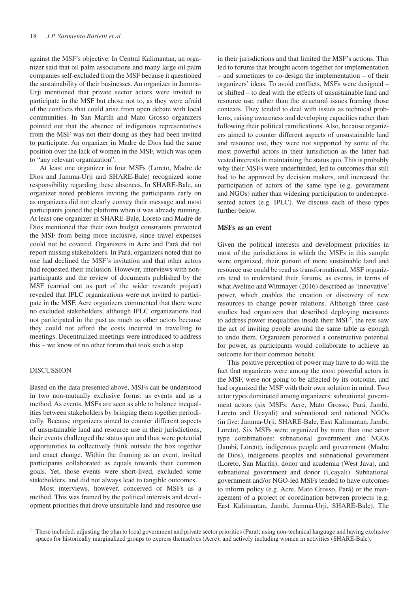against the MSF's objective. In Central Kalimantan, an organizer said that oil palm associations and many large oil palm companies self-excluded from the MSF because it questioned the sustainability of their businesses. An organizer in Jamma-Urji mentioned that private sector actors were invited to participate in the MSF but chose not to, as they were afraid of the conflicts that could arise from open debate with local communities. In San Martín and Mato Grosso organizers pointed out that the absence of indigenous representatives from the MSF was not their doing as they had been invited to participate. An organizer in Madre de Dios had the same position over the lack of women in the MSF, which was open to "any relevant organization".

At least one organizer in four MSFs (Loreto, Madre de Dios and Jamma-Urji and SHARE-Bale) recognized some responsibility regarding these absences. In SHARE-Bale, an organizer noted problems inviting the participants early on as organizers did not clearly convey their message and most participants joined the platform when it was already running. At least one organizer in SHARE-Bale, Loreto and Madre de Dios mentioned that their own budget constraints prevented the MSF from being more inclusive, since travel expenses could not be covered. Organizers in Acre and Pará did not report missing stakeholders. In Pará, organizers noted that no one had declined the MSF's invitation and that other actors had requested their inclusion. However, interviews with nonparticipants and the review of documents published by the MSF (carried out as part of the wider research project) revealed that IPLC organizations were not invited to participate in the MSF. Acre organizers commented that there were no excluded stakeholders, although IPLC organizations had not participated in the past as much as other actors because they could not afford the costs incurred in travelling to meetings. Decentralized meetings were introduced to address this – we know of no other forum that took such a step.

#### DISCUSSION

Based on the data presented above, MSFs can be understood in two non-mutually exclusive forms: as events and as a method. As events, MSFs are seen as able to balance inequalities between stakeholders by bringing them together periodically. Because organizers aimed to counter different aspects of unsustainable land and resource use in their jurisdictions, their events challenged the status quo and thus were potential opportunities to collectively think outside the box together and enact change. Within the framing as an event, invited participants collaborated as equals towards their common goals. Yet, those events were short-lived, excluded some stakeholders, and did not always lead to tangible outcomes.

Most interviews, however, conceived of MSFs as a method. This was framed by the political interests and development priorities that drove unsuitable land and resource use

in their jurisdictions and that limited the MSF's actions. This led to forums that brought actors together for implementation – and sometimes to co-design the implementation – of their organizers' ideas. To avoid conflicts, MSFs were designed – or shifted – to deal with the effects of unsustainable land and resource use, rather than the structural issues framing those contexts. They tended to deal with issues as technical problems, raising awareness and developing capacities rather than following their political ramifications. Also, because organizers aimed to counter different aspects of unsustainable land and resource use, they were not supported by some of the most powerful actors in their jurisdiction as the latter had vested interests in maintaining the status quo. This is probably why their MSFs were underfunded, led to outcomes that still had to be approved by decision makers, and increased the participation of actors of the same type (e.g. government and NGOs) rather than widening participation to underrepresented actors (e.g. IPLC). We discuss each of these types further below.

## **MSFs as an event**

Given the political interests and development priorities in most of the jurisdictions in which the MSFs in this sample were organized, their pursuit of more sustainable land and resource use could be read as transformational. MSF organizers tend to understand their forums, as events, in terms of what Avelino and Wittmayer (2016) described as 'innovative' power, which enables the creation or discovery of new resources to change power relations. Although three case studies had organizers that described deploying measures to address power inequalities inside their MSF7 , the rest saw the act of inviting people around the same table as enough to undo them. Organizers perceived a constructive potential for power, as participants would collaborate to achieve an outcome for their common benefit.

This positive perception of power may have to do with the fact that organizers were among the most powerful actors in the MSF, were not going to be affected by its outcome, and had organized the MSF with their own solution in mind. Two actor types dominated among organizers: subnational government actors (six MSFs: Acre, Mato Grosso, Pará, Jambi, Loreto and Ucayali) and subnational and national NGOs (in five: Jamma-Urji, SHARE-Bale, East Kalimantan, Jambi, Loreto). Six MSFs were organized by more than one actor type combinations: subnational government and NGOs (Jambi, Loreto), indigenous people and government (Madre de Dios), indigenous peoples and subnational government (Loreto, San Martín), donor and academia (West Java), and subnational government and donor (Ucayali). Subnational government and/or NGO-led MSFs tended to have outcomes to inform policy (e.g. Acre, Mato Grosso, Pará) or the management of a project or coordination between projects (e.g. East Kalimantan, Jambi, Jamma-Urji, SHARE-Bale). The

 $\sigma$  These included: adjusting the plan to local government and private sector priorities (Para); using non-technical language and having exclusive spaces for historically marginalized groups to express themselves (Acre); and actively including women in activities (SHARE-Bale).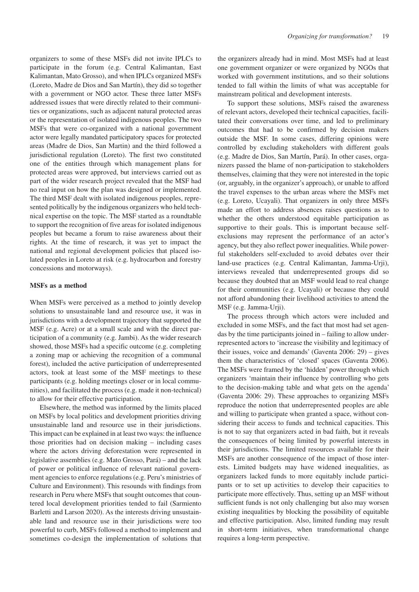organizers to some of these MSFs did not invite IPLCs to participate in the forum (e.g. Central Kalimantan, East Kalimantan, Mato Grosso), and when IPLCs organized MSFs (Loreto, Madre de Dios and San Martín), they did so together with a government or NGO actor. These three latter MSFs addressed issues that were directly related to their communities or organizations, such as adjacent natural protected areas or the representation of isolated indigenous peoples. The two MSFs that were co-organized with a national government actor were legally mandated participatory spaces for protected areas (Madre de Dios, San Martin) and the third followed a jurisdictional regulation (Loreto). The first two constituted one of the entities through which management plans for protected areas were approved, but interviews carried out as part of the wider research project revealed that the MSF had no real input on how the plan was designed or implemented. The third MSF dealt with isolated indigenous peoples, represented politically by the indigenous organizers who held technical expertise on the topic. The MSF started as a roundtable to support the recognition of five areas for isolated indigenous peoples but became a forum to raise awareness about their rights. At the time of research, it was yet to impact the national and regional development policies that placed isolated peoples in Loreto at risk (e.g. hydrocarbon and forestry concessions and motorways).

## **MSFs as a method**

When MSFs were perceived as a method to jointly develop solutions to unsustainable land and resource use, it was in jurisdictions with a development trajectory that supported the MSF (e.g. Acre) or at a small scale and with the direct participation of a community (e.g. Jambi). As the wider research showed, those MSFs had a specific outcome (e.g. completing a zoning map or achieving the recognition of a communal forest), included the active participation of underrepresented actors, took at least some of the MSF meetings to these participants (e.g. holding meetings closer or in local communities), and facilitated the process (e.g. made it non-technical) to allow for their effective participation.

Elsewhere, the method was informed by the limits placed on MSFs by local politics and development priorities driving unsustainable land and resource use in their jurisdictions. This impact can be explained in at least two ways: the influence those priorities had on decision making – including cases where the actors driving deforestation were represented in legislative assemblies (e.g. Mato Grosso, Pará) – and the lack of power or political influence of relevant national government agencies to enforce regulations (e.g. Peru's ministries of Culture and Environment). This resounds with findings from research in Peru where MSFs that sought outcomes that countered local development priorities tended to fail (Sarmiento Barletti and Larson 2020). As the interests driving unsustainable land and resource use in their jurisdictions were too powerful to curb, MSFs followed a method to implement and sometimes co-design the implementation of solutions that

the organizers already had in mind. Most MSFs had at least one government organizer or were organized by NGOs that worked with government institutions, and so their solutions tended to fall within the limits of what was acceptable for mainstream political and development interests.

To support these solutions, MSFs raised the awareness of relevant actors, developed their technical capacities, facilitated their conversations over time, and led to preliminary outcomes that had to be confirmed by decision makers outside the MSF. In some cases, differing opinions were controlled by excluding stakeholders with different goals (e.g. Madre de Dios, San Martín, Pará). In other cases, organizers passed the blame of non-participation to stakeholders themselves, claiming that they were not interested in the topic (or, arguably, in the organizer's approach), or unable to afford the travel expenses to the urban areas where the MSFs met (e.g. Loreto, Ucayali). That organizers in only three MSFs made an effort to address absences raises questions as to whether the others understood equitable participation as supportive to their goals. This is important because selfexclusions may represent the performance of an actor's agency, but they also reflect power inequalities. While powerful stakeholders self-excluded to avoid debates over their land-use practices (e.g. Central Kalimantan, Jamma-Urji), interviews revealed that underrepresented groups did so because they doubted that an MSF would lead to real change for their communities (e.g. Ucayali) or because they could not afford abandoning their livelihood activities to attend the MSF (e.g. Jamma-Urji).

The process through which actors were included and excluded in some MSFs, and the fact that most had set agendas by the time participants joined in – failing to allow underrepresented actors to 'increase the visibility and legitimacy of their issues, voice and demands' (Gaventa 2006: 29) – gives them the characteristics of 'closed' spaces (Gaventa 2006). The MSFs were framed by the 'hidden' power through which organizers 'maintain their influence by controlling who gets to the decision-making table and what gets on the agenda' (Gaventa 2006: 29). These approaches to organizing MSFs reproduce the notion that underrepresented peoples are able and willing to participate when granted a space, without considering their access to funds and technical capacities. This is not to say that organizers acted in bad faith, but it reveals the consequences of being limited by powerful interests in their jurisdictions. The limited resources available for their MSFs are another consequence of the impact of those interests. Limited budgets may have widened inequalities, as organizers lacked funds to more equitably include participants or to set up activities to develop their capacities to participate more effectively. Thus, setting up an MSF without sufficient funds is not only challenging but also may worsen existing inequalities by blocking the possibility of equitable and effective participation. Also, limited funding may result in short-term initiatives, when transformational change requires a long-term perspective.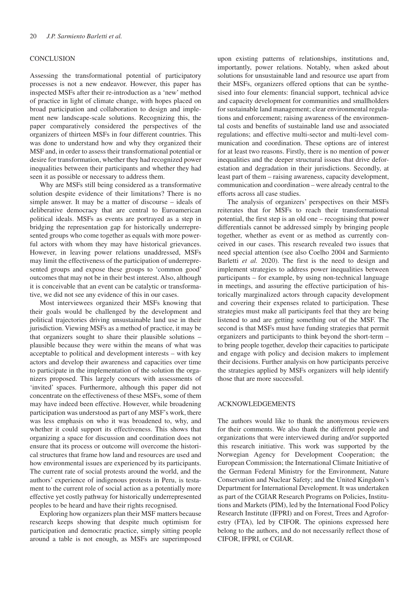#### **CONCLUSION**

Assessing the transformational potential of participatory processes is not a new endeavor. However, this paper has inspected MSFs after their re-introduction as a 'new' method of practice in light of climate change, with hopes placed on broad participation and collaboration to design and implement new landscape-scale solutions. Recognizing this, the paper comparatively considered the perspectives of the organizers of thirteen MSFs in four different countries. This was done to understand how and why they organized their MSF and, in order to assess their transformational potential or desire for transformation, whether they had recognized power inequalities between their participants and whether they had seen it as possible or necessary to address them.

Why are MSFs still being considered as a transformative solution despite evidence of their limitations? There is no simple answer. It may be a matter of discourse – ideals of deliberative democracy that are central to Euroamerican political ideals. MSFs as events are portrayed as a step in bridging the representation gap for historically underrepresented groups who come together as equals with more powerful actors with whom they may have historical grievances. However, in leaving power relations unaddressed, MSFs may limit the effectiveness of the participation of underrepresented groups and expose these groups to 'common good' outcomes that may not be in their best interest. Also, although it is conceivable that an event can be catalytic or transformative, we did not see any evidence of this in our cases.

Most interviewees organized their MSFs knowing that their goals would be challenged by the development and political trajectories driving unsustainable land use in their jurisdiction. Viewing MSFs as a method of practice, it may be that organizers sought to share their plausible solutions – plausible because they were within the means of what was acceptable to political and development interests – with key actors and develop their awareness and capacities over time to participate in the implementation of the solution the organizers proposed. This largely concurs with assessments of 'invited' spaces. Furthermore, although this paper did not concentrate on the effectiveness of these MSFs, some of them may have indeed been effective. However, while broadening participation was understood as part of any MSF's work, there was less emphasis on who it was broadened to, why, and whether it could support its effectiveness. This shows that organizing a space for discussion and coordination does not ensure that its process or outcome will overcome the historical structures that frame how land and resources are used and how environmental issues are experienced by its participants. The current rate of social protests around the world, and the authors' experience of indigenous protests in Peru, is testament to the current role of social action as a potentially more effective yet costly pathway for historically underrepresented peoples to be heard and have their rights recognised.

Exploring how organizers plan their MSF matters because research keeps showing that despite much optimism for participation and democratic practice, simply sitting people around a table is not enough, as MSFs are superimposed

upon existing patterns of relationships, institutions and, importantly, power relations. Notably, when asked about solutions for unsustainable land and resource use apart from their MSFs, organizers offered options that can be synthesised into four elements: financial support, technical advice and capacity development for communities and smallholders for sustainable land management; clear environmental regulations and enforcement; raising awareness of the environmental costs and benefits of sustainable land use and associated regulations; and effective multi-sector and multi-level communication and coordination. These options are of interest for at least two reasons. Firstly, there is no mention of power inequalities and the deeper structural issues that drive deforestation and degradation in their jurisdictions. Secondly, at least part of them – raising awareness, capacity development, communication and coordination – were already central to the efforts across all case studies.

The analysis of organizers' perspectives on their MSFs reiterates that for MSFs to reach their transformational potential, the first step is an old one – recognising that power differentials cannot be addressed simply by bringing people together, whether as event or as method as currently conceived in our cases. This research revealed two issues that need special attention (see also Coelho 2004 and Sarmiento Barletti *et al.* 2020). The first is the need to design and implement strategies to address power inequalities between participants – for example, by using non-technical language in meetings, and assuring the effective participation of historically marginalized actors through capacity development and covering their expenses related to participation. These strategies must make all participants feel that they are being listened to and are getting something out of the MSF. The second is that MSFs must have funding strategies that permit organizers and participants to think beyond the short-term – to bring people together, develop their capacities to participate and engage with policy and decision makers to implement their decisions. Further analysis on how participants perceive the strategies applied by MSFs organizers will help identify those that are more successful.

## ACKNOWLEDGEMENTS

The authors would like to thank the anonymous reviewers for their comments. We also thank the different people and organizations that were interviewed during and/or supported this research initiative. This work was supported by the Norwegian Agency for Development Cooperation; the European Commission; the International Climate Initiative of the German Federal Ministry for the Environment, Nature Conservation and Nuclear Safety; and the United Kingdom's Department for International Development. It was undertaken as part of the CGIAR Research Programs on Policies, Institutions and Markets (PIM), led by the International Food Policy Research Institute (IFPRI) and on Forest, Trees and Agroforestry (FTA), led by CIFOR. The opinions expressed here belong to the authors, and do not necessarily reflect those of CIFOR, IFPRI, or CGIAR.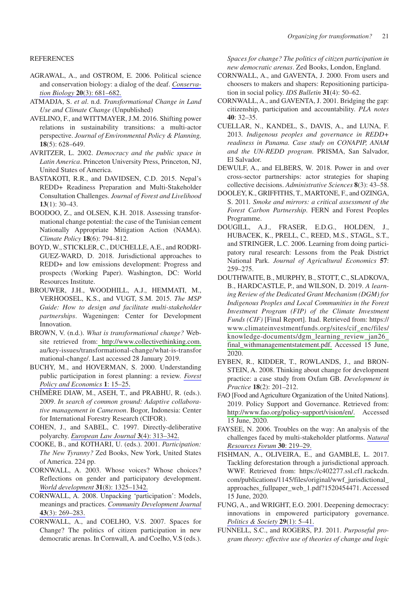## REFERENCES

- AGRAWAL, A., and OSTROM, E. 2006. Political science and conservation biology: a dialog of the deaf. *[Conserva](http://www.ingentaconnect.com/content/external-references?article=0888-8892()20:3L.681[aid=11409725])tion Biology* **20**[\(3\): 681–682.](http://www.ingentaconnect.com/content/external-references?article=0888-8892()20:3L.681[aid=11409725])
- ATMADJA, S. *et al*. n.d. *Transformational Change in Land Use and Climate Change* (Unpublished)
- AVELINO, F., and WITTMAYER, J.M. 2016. Shifting power relations in sustainability transitions: a multi-actor perspective. *Journal of Environmental Policy & Planning,*  **18**(5): 628–649.
- AVRITZER, L. 2002. *Democracy and the public space in Latin America*. Princeton University Press, Princeton, NJ, United States of America.
- BASTAKOTI, R.R., and DAVIDSEN, C.D. 2015. Nepal's REDD+ Readiness Preparation and Multi-Stakeholder Consultation Challenges. *Journal of Forest and Livelihood*  **13**(1): 30–43.
- BOODOO, Z., and OLSEN, K.H. 2018. Assessing transformational change potential: the case of the Tunisian cement Nationally Appropriate Mitigation Action (NAMA). *Climate Policy* **18**(6): 794–812.
- BOYD, W., STICKLER, C., DUCHELLE, A.E., and RODRI-GUEZ-WARD, D. 2018. Jurisdictional approaches to REDD+ and low emissions development: Progress and prospects (Working Paper). Washington, DC: World Resources Institute.
- BROUWER, J.H., WOODHILL, A.J., HEMMATI, M., VERHOOSEL, K.S., and VUGT, S.M. 2015. *The MSP Guide: How to design and facilitate multi-stakeholder partnerships*. Wageningen: Center for Development Innovation.
- BROWN, V. (n.d.). *What is transformational change?* Website retrieved from[: http://www.collectivethinking.com.](http://www.collectivethinking.com) au/key-issues/transformational-change/what-is-transfor mational-change/. Last accessed 28 January 2019.
- BUCHY, M., and HOVERMAN, S. 2000. Understanding public participation in forest planning: a review. *[Forest](http://www.ingentaconnect.com/content/external-references?article=1389-9341()1L.15[aid=10386229]) [Policy and Economics](http://www.ingentaconnect.com/content/external-references?article=1389-9341()1L.15[aid=10386229])* **1**: 15–25.
- CHÍMÈRE DIAW, M., ASEH, T., and PRABHU, R. (eds.). 2009. *In search of common ground: Adaptive collaborative management in Cameroon*. Bogor, Indonesia: Center for International Forestry Research (CIFOR).
- COHEN, J., and SABEL, C. 1997. Directly-deliberative polyarchy. *[European Law Journal](http://www.ingentaconnect.com/content/external-references?article=1351-5993()3:4L.313[aid=8729960])* **3**(4): 313–342.
- COOKE, B., and KOTHARI, U. (eds.). 2001. *Participation: The New Tyranny?* Zed Books, New York, United States of America. 224 pp.
- CORNWALL, A. 2003. Whose voices? Whose choices? Reflections on gender and participatory development. *[World development](http://www.ingentaconnect.com/content/external-references?article=0305-750x()31:8L.1325[aid=8057930])* **31**(8): 1325–1342.
- CORNWALL, A. 2008. Unpacking 'participation': Models, meanings and practices. *[Community Development Journal](http://www.ingentaconnect.com/content/external-references?article=0010-3802()43:3L.269[aid=9646981])* **43**[\(3\): 269–283.](http://www.ingentaconnect.com/content/external-references?article=0010-3802()43:3L.269[aid=9646981])
- CORNWALL, A., and COELHO, V.S. 2007. Spaces for Change? The politics of citizen participation in new democratic arenas. In Cornwall, A. and Coelho, V.S (eds.).

*Spaces for change? The politics of citizen participation in new democratic arenas*. Zed Books, London, England.

- CORNWALL, A., and GAVENTA, J. 2000. From users and choosers to makers and shapers: Repositioning participation in social policy. *IDS Bulletin* **31**(4): 50–62.
- CORNWALL, A., and GAVENTA, J. 2001. Bridging the gap: citizenship, participation and accountability. *PLA notes*  **40**: 32–35.
- CUELLAR, N., KANDEL, S., DAVIS, A., and LUNA, F. 2013*. Indigenous peoples and governance in REDD+ readiness in Panama. Case study on CONAPIP, ANAM and the UN-REDD program*. PRISMA, San Salvador, El Salvador.
- DEWULF, A., and ELBERS, W. 2018. Power in and over cross-sector partnerships: actor strategies for shaping collective decisions. *Administrative Sciences* **8**(3): 43–58.
- DOOLEY, K., GRIFFITHS, T., MARTONE, F., and OZINGA, S. 2011*. Smoke and mirrors: a critical assessment of the Forest Carbon Partnership*. FERN and Forest Peoples Programme.
- DOUGILL, A.J., FRASER, E.D.G., HOLDEN, J., HUBACEK, K., PRELL, C., REED, M.S., STAGL, S.T., and STRINGER, L.C. 2006. Learning from doing participatory rural research: Lessons from the Peak District National Park. *Journal of Agricultural Economics* **57**: 259–275.
- DOUTHWAITE, B., MURPHY, B., STOTT, C., SLADKOVA, B., HARDCASTLE, P., and WILSON, D. 2019. *A learning Review of the Dedicated Grant Mechanism (DGM) for Indigenous Peoples and Local Communities in the Forest Investment Program (FIP) of the Climate Investment Funds (CIF)* [Final Report]. Itad. Retrieved from: https:// [www.climateinvestmentfunds.org/sites/cif\\_enc/files/](http://www.climateinvestmentfunds.org/sites/cif_enc/files/knowledge-documents/dgm_learning_review_jan26_final_withmanagementstatement.pdf) [knowledge-documents/dgm\\_learning\\_review\\_jan26\\_](http://www.climateinvestmentfunds.org/sites/cif_enc/files/knowledge-documents/dgm_learning_review_jan26_final_withmanagementstatement.pdf) [final\\_withmanagementstatement.pdf.](http://www.climateinvestmentfunds.org/sites/cif_enc/files/knowledge-documents/dgm_learning_review_jan26_final_withmanagementstatement.pdf) Accessed 15 June, 2020.
- EYBEN, R., KIDDER, T., ROWLANDS, J., and BRON-STEIN, A. 2008. Thinking about change for development practice: a case study from Oxfam GB. *Development in Practice* **18**(2): 201–212.
- FAO [Food and Agriculture Organization of the United Nations]. 2019. Policy Support and Governance. Retrieved from: [http://www.fao.org/policy-support/vision/en/.](http://www.fao.org/policy-support/vision/en/) Accessed 15 June, 2020.
- FAYSEE, N. 2006. Troubles on the way: An analysis of the challenges faced by multi-stakeholder platforms. *[Natural](http://www.ingentaconnect.com/content/external-references?article=0165-0203()30L.219[aid=8786795])  [Resources Forum](http://www.ingentaconnect.com/content/external-references?article=0165-0203()30L.219[aid=8786795])* **30**: 219–29.
- FISHMAN, A., OLIVEIRA, E., and GAMBLE, L. 2017. Tackling deforestation through a jurisdictional approach. WWF. Retrieved from: https://c402277.ssl.cf1.rackcdn. com/publications/1145/files/original/wwf\_jurisdictional\_ approaches\_fullpaper\_web\_1.pdf?1520454471. Accessed 15 June, 2020.
- FUNG, A., and WRIGHT, E.O. 2001. Deepening democracy: innovations in empowered participatory governance. *[Politics & Society](http://www.ingentaconnect.com/content/external-references?article=0032-3292()29:1L.5[aid=7761117])* **29**(1): 5–41.
- FUNNELL, S.C., and ROGERS, P.J. 2011. *Purposeful program theory: effective use of theories of change and logic*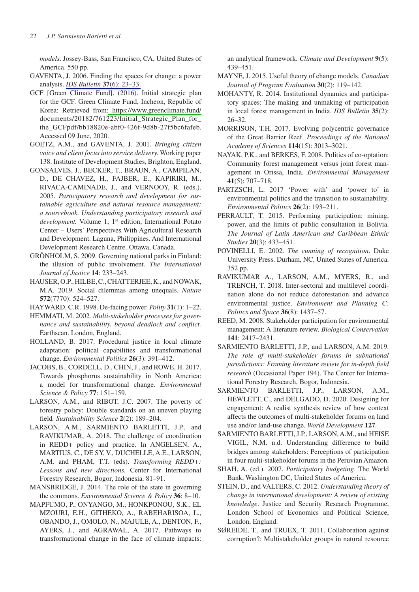*models*. Jossey-Bass, San Francisco, CA, United States of America. 550 pp.

- GAVENTA, J. 2006. Finding the spaces for change: a power analysis. *[IDS Bulletin](http://www.ingentaconnect.com/content/external-references?article=0265-5012()37:6L.23[aid=8626586])* **37**(6): 23–33.
- GCF [Green Climate Fund]. (2016). Initial strategic plan for the GCF. Green Climate Fund, Incheon, Republic of Korea: Retrieved from[: https://www.greenclimate.fund/](http://www.greenclimate.fund/) documents/20182/761223/Initial\_Strategic\_Plan\_for\_ the\_GCFpdf/bb18820e-abf0-426f-9d8b-27f5bc6fafeb. Accessed 09 June, 2020.
- GOETZ, A.M., and GAVENTA, J. 2001. *Bringing citizen voice and client focus into service delivery.* Working paper 138. Institute of Development Studies, Brighton, England.
- GONSALVES, J., BECKER, T., BRAUN, A., CAMPILAN, D., DE CHAVEZ, H., FAJBER, E., KAPIRIRI, M., RIVACA-CAMINADE, J., and VERNOOY, R. (eds.). 2005. *Participatory research and development for sustainable agriculture and natural resource management: a sourcebook. Understanding participatory research and development.* Volume 1, 1<sup>st</sup> edition, International Potato Center – Users' Perspectives With Agricultural Research and Development. Laguna, Philippines. And International Development Research Centre. Ottawa, Canada.
- GRÖNHOLM, S. 2009. Governing national parks in Finland: the illusion of public involvement. *The International Journal of Justice* **14**: 233–243.
- HAUSER, O.P., HILBE, C., CHATTERJEE, K., and NOWAK, M.A. 2019. Social dilemmas among unequals. *Nature*  **572**(7770): 524–527.
- HAYWARD, C.R. 1998. De-facing power. *Polity* **31**(1): 1–22.
- HEMMATI, M. 2002*. Multi-stakeholder processes for governance and sustainability. beyond deadlock and conflict.* Earthscan. London, England.
- HOLLAND, B. 2017. Procedural justice in local climate adaptation: political capabilities and transformational change. *Environmental Politics* **26**(3): 391–412.
- JACOBS, B., CORDELL, D., CHIN, J., and ROWE, H. 2017. Towards phosphorus sustainability in North America: a model for transformational change. *Environmental Science & Policy* **77**: 151–159.
- LARSON, A.M., and RIBOT, J.C. 2007. The poverty of forestry policy: Double standards on an uneven playing field*. Sustainability Science* **2**(2): 189–204.
- LARSON, A.M., SARMIENTO BARLETTI, J.P., and RAVIKUMAR, A. 2018. The challenge of coordination in REDD+ policy and practice. In ANGELSEN, A., MARTIUS, C., DE SY, V., DUCHELLE, A.E., LARSON, A.M. and PHAM, T.T. (eds). *Transforming REDD+: Lessons and new directions.* Center for International Forestry Research, Bogor, Indonesia. 81–91.
- MANSBRIDGE, J. 2014. The role of the state in governing the commons. *Environmental Science & Policy* **36**: 8–10.
- MAPFUMO, P., ONYANGO, M., HONKPONOU, S.K., EL MZOURI, E.H., GITHEKO, A., RABEHARISOA, L., OBANDO, J., OMOLO, N., MAJULE, A., DENTON, F., AYERS, J., and AGRAWAL, A. 2017. Pathways to transformational change in the face of climate impacts:

an analytical framework. *Climate and Development* **9**(5): 439–451.

- MAYNE, J. 2015. Useful theory of change models. *Canadian Journal of Program Evaluation* **30**(2): 119–142.
- MOHANTY, R. 2014. Institutional dynamics and participatory spaces: The making and unmaking of participation in local forest management in India. *IDS Bulletin* **35**(2): 26–32.
- MORRISON, T.H. 2017. Evolving polycentric governance of the Great Barrier Reef. *Proceedings of the National Academy of Sciences* **114**(15): 3013–3021.
- NAYAK, P.K., and BERKES, F. 2008. Politics of co-optation: Community forest management versus joint forest management in Orissa, India. *Environmental Management* **41**(5): 707–718.
- PARTZSCH, L. 2017 'Power with' and 'power to' in environmental politics and the transition to sustainability. *Environmental Politics* **26**(2): 193–211.
- PERRAULT, T. 2015. Performing participation: mining, power, and the limits of public consultation in Bolivia. *The Journal of Latin American and Caribbean Ethnic Studies* **20**(3): 433–451.
- POVINELLI, E. 2002. *The cunning of recognition*. Duke University Press. Durham, NC, United States of America. 352 pp.
- RAVIKUMAR A., LARSON, A.M., MYERS, R., and TRENCH, T. 2018. Inter-sectoral and multilevel coordination alone do not reduce deforestation and advance environmental justice. *Environment and Planning C: Politics and Space* **36**(8): 1437–57.
- REED, M. 2008. Stakeholder participation for environmental management: A literature review. *Biological Conservation*  **141**: 2417–2431.
- SARMIENTO BARLETTI, J.P., and LARSON, A.M. 2019. *The role of multi-stakeholder forums in subnational jurisdictions: Framing literature review for in-depth field research* (Occasional Paper 194). The Center for International Forestry Research, Bogor, Indonesia.
- SARMIENTO BARLETTI, J.P., LARSON, A.M., HEWLETT, C., and DELGADO, D. 2020. Designing for engagement: A realist synthesis review of how context affects the outcomes of multi-stakeholder forums on land use and/or land-use change. *World Development* **127***.*
- SARMIENTO BARLETTI, J.P., LARSON, A.M., and HEISE VIGIL, N.M. n.d. Understanding difference to build bridges among stakeholders: Perceptions of participation in four multi-stakeholder forums in the Peruvian Amazon.
- SHAH, A. (ed.). 2007. *Participatory budgeting*. The World Bank, Washington DC, United States of America.
- STEIN, D., and VALTERS, C. 2012. *Understanding theory of change in international development: A review of existing knowledge*. Justice and Security Research Programme, London School of Economics and Political Science, London, England.
- SØREIDE, T., and TRUEX, T. 2011. Collaboration against corruption?: Multistakeholder groups in natural resource